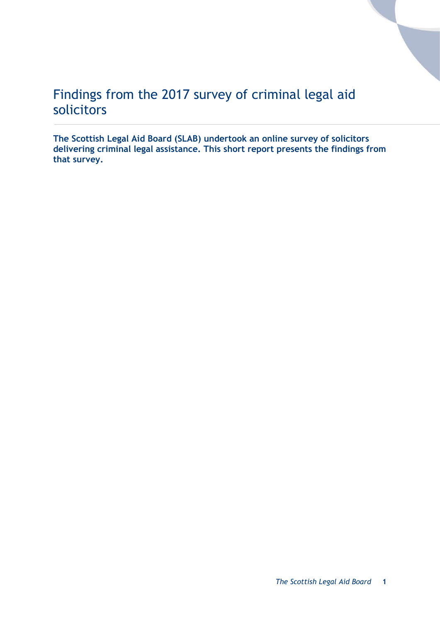# Findings from the 2017 survey of criminal legal aid solicitors

**The Scottish Legal Aid Board (SLAB) undertook an online survey of solicitors delivering criminal legal assistance. This short report presents the findings from that survey.**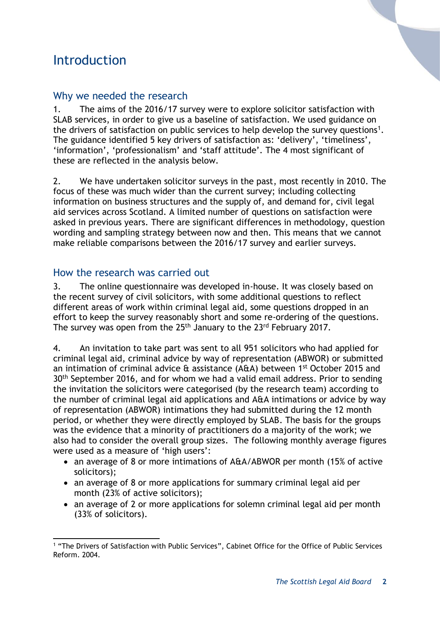# Introduction

## Why we needed the research

1. The aims of the 2016/17 survey were to explore solicitor satisfaction with SLAB services, in order to give us a baseline of satisfaction. We used guidance on the drivers of satisfaction on public services to help develop the survey questions<sup>1</sup>. The guidance identified 5 key drivers of satisfaction as: 'delivery', 'timeliness', 'information', 'professionalism' and 'staff attitude'. The 4 most significant of these are reflected in the analysis below.

2. We have undertaken solicitor surveys in the past, most recently in 2010. The focus of these was much wider than the current survey; including collecting information on business structures and the supply of, and demand for, civil legal aid services across Scotland. A limited number of questions on satisfaction were asked in previous years. There are significant differences in methodology, question wording and sampling strategy between now and then. This means that we cannot make reliable comparisons between the 2016/17 survey and earlier surveys.

### How the research was carried out

3. The online questionnaire was developed in-house. It was closely based on the recent survey of civil solicitors, with some additional questions to reflect different areas of work within criminal legal aid, some questions dropped in an effort to keep the survey reasonably short and some re-ordering of the questions. The survey was open from the 25<sup>th</sup> January to the 23<sup>rd</sup> February 2017.

4. An invitation to take part was sent to all 951 solicitors who had applied for criminal legal aid, criminal advice by way of representation (ABWOR) or submitted an intimation of criminal advice & assistance (A&A) between 1st October 2015 and 30<sup>th</sup> September 2016, and for whom we had a valid email address. Prior to sending the invitation the solicitors were categorised (by the research team) according to the number of criminal legal aid applications and A&A intimations or advice by way of representation (ABWOR) intimations they had submitted during the 12 month period, or whether they were directly employed by SLAB. The basis for the groups was the evidence that a minority of practitioners do a majority of the work; we also had to consider the overall group sizes. The following monthly average figures were used as a measure of 'high users':

- an average of 8 or more intimations of A&A/ABWOR per month (15% of active solicitors);
- an average of 8 or more applications for summary criminal legal aid per month (23% of active solicitors);
- an average of 2 or more applications for solemn criminal legal aid per month (33% of solicitors).

<sup>-</sup><sup>1</sup> "The Drivers of Satisfaction with Public Services", Cabinet Office for the Office of Public Services Reform. 2004.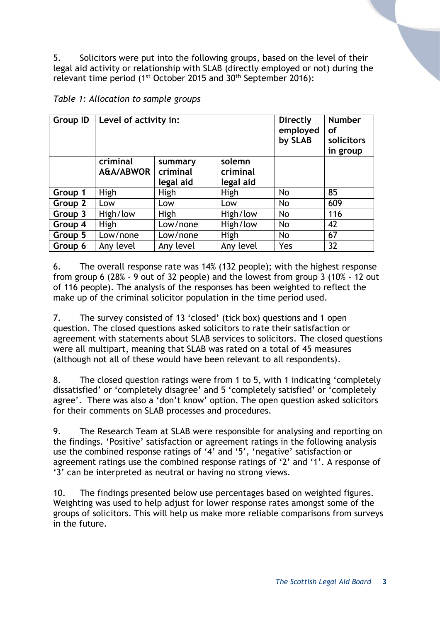5. Solicitors were put into the following groups, based on the level of their legal aid activity or relationship with SLAB (directly employed or not) during the relevant time period (1st October 2015 and 30th September 2016):

|  | Table 1: Allocation to sample groups |  |  |
|--|--------------------------------------|--|--|
|--|--------------------------------------|--|--|

| <b>Group ID</b> | Level of activity in: |                                  |                                 | Directly<br>employed<br>by SLAB | <b>Number</b><br>οf<br>solicitors<br>in group |
|-----------------|-----------------------|----------------------------------|---------------------------------|---------------------------------|-----------------------------------------------|
|                 | criminal<br>A&A/ABWOR | summary<br>criminal<br>legal aid | solemn<br>criminal<br>legal aid |                                 |                                               |
| Group 1         | <b>High</b>           | High                             | High                            | No                              | 85                                            |
| Group 2         | Low                   | Low                              | Low                             | No                              | 609                                           |
| Group 3         | High/low              | High                             | High/low                        | No                              | 116                                           |
| Group 4         | <b>High</b>           | Low/none                         | High/low                        | No                              | 42                                            |
| Group 5         | Low/none              | Low/none                         | High                            | No                              | 67                                            |
| Group 6         | Any level             | Any level                        | Any level                       | Yes                             | 32                                            |

6. The overall response rate was 14% (132 people); with the highest response from group 6 (28% - 9 out of 32 people) and the lowest from group 3 (10% - 12 out of 116 people). The analysis of the responses has been weighted to reflect the make up of the criminal solicitor population in the time period used.

7. The survey consisted of 13 'closed' (tick box) questions and 1 open question. The closed questions asked solicitors to rate their satisfaction or agreement with statements about SLAB services to solicitors. The closed questions were all multipart, meaning that SLAB was rated on a total of 45 measures (although not all of these would have been relevant to all respondents).

8. The closed question ratings were from 1 to 5, with 1 indicating 'completely dissatisfied' or 'completely disagree' and 5 'completely satisfied' or 'completely agree'. There was also a 'don't know' option. The open question asked solicitors for their comments on SLAB processes and procedures.

9. The Research Team at SLAB were responsible for analysing and reporting on the findings. 'Positive' satisfaction or agreement ratings in the following analysis use the combined response ratings of '4' and '5', 'negative' satisfaction or agreement ratings use the combined response ratings of '2' and '1'. A response of '3' can be interpreted as neutral or having no strong views.

10. The findings presented below use percentages based on weighted figures. Weighting was used to help adjust for lower response rates amongst some of the groups of solicitors. This will help us make more reliable comparisons from surveys in the future.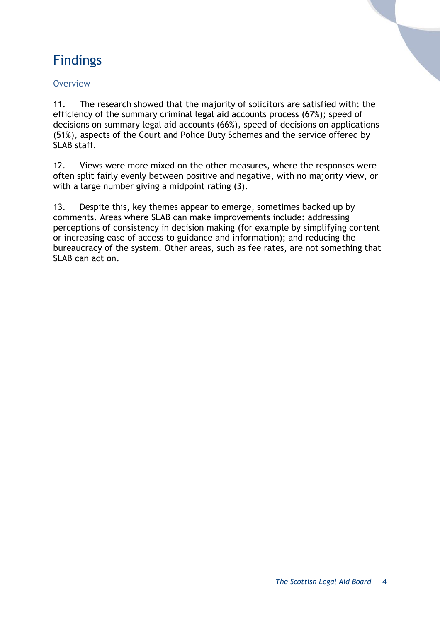# Findings

#### **Overview**

11. The research showed that the majority of solicitors are satisfied with: the efficiency of the summary criminal legal aid accounts process (67%); speed of decisions on summary legal aid accounts (66%), speed of decisions on applications (51%), aspects of the Court and Police Duty Schemes and the service offered by SLAB staff.

12. Views were more mixed on the other measures, where the responses were often split fairly evenly between positive and negative, with no majority view, or with a large number giving a midpoint rating (3).

13. Despite this, key themes appear to emerge, sometimes backed up by comments. Areas where SLAB can make improvements include: addressing perceptions of consistency in decision making (for example by simplifying content or increasing ease of access to guidance and information); and reducing the bureaucracy of the system. Other areas, such as fee rates, are not something that SLAB can act on.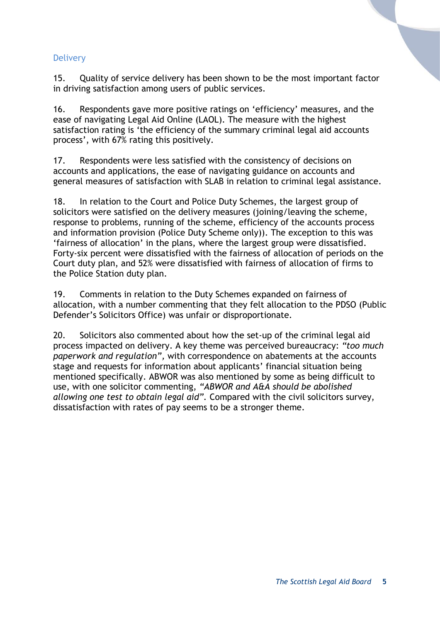#### **Delivery**

15. Quality of service delivery has been shown to be the most important factor in driving satisfaction among users of public services.

16. Respondents gave more positive ratings on 'efficiency' measures, and the ease of navigating Legal Aid Online (LAOL). The measure with the highest satisfaction rating is 'the efficiency of the summary criminal legal aid accounts process', with 67% rating this positively.

17. Respondents were less satisfied with the consistency of decisions on accounts and applications, the ease of navigating guidance on accounts and general measures of satisfaction with SLAB in relation to criminal legal assistance.

18. In relation to the Court and Police Duty Schemes, the largest group of solicitors were satisfied on the delivery measures (joining/leaving the scheme, response to problems, running of the scheme, efficiency of the accounts process and information provision (Police Duty Scheme only)). The exception to this was 'fairness of allocation' in the plans, where the largest group were dissatisfied. Forty-six percent were dissatisfied with the fairness of allocation of periods on the Court duty plan, and 52% were dissatisfied with fairness of allocation of firms to the Police Station duty plan.

19. Comments in relation to the Duty Schemes expanded on fairness of allocation, with a number commenting that they felt allocation to the PDSO (Public Defender's Solicitors Office) was unfair or disproportionate.

20. Solicitors also commented about how the set-up of the criminal legal aid process impacted on delivery. A key theme was perceived bureaucracy: *"too much paperwork and regulation",* with correspondence on abatements at the accounts stage and requests for information about applicants' financial situation being mentioned specifically. ABWOR was also mentioned by some as being difficult to use, with one solicitor commenting, *"ABWOR and A&A should be abolished allowing one test to obtain legal aid".* Compared with the civil solicitors survey, dissatisfaction with rates of pay seems to be a stronger theme.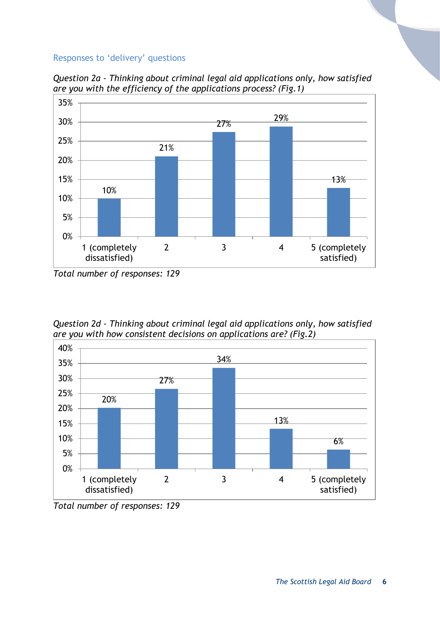#### Responses to 'delivery' questions



*Question 2a - Thinking about criminal legal aid applications only, how satisfied are you with the efficiency of the applications process? (Fig.1)*

*Question 2d - Thinking about criminal legal aid applications only, how satisfied are you with how consistent decisions on applications are? (Fig.2)*



*Total number of responses: 129*

*Total number of responses: 129*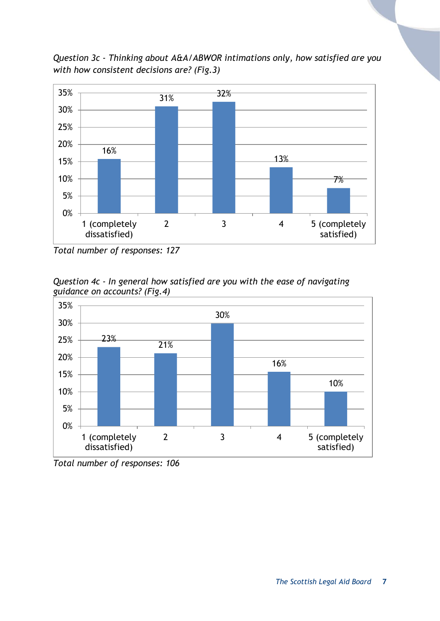*Question 3c - Thinking about A&A/ABWOR intimations only, how satisfied are you with how consistent decisions are? (Fig.3)*



*Total number of responses: 127*

*Question 4c - In general how satisfied are you with the ease of navigating guidance on accounts? (Fig.4)*



*Total number of responses: 106*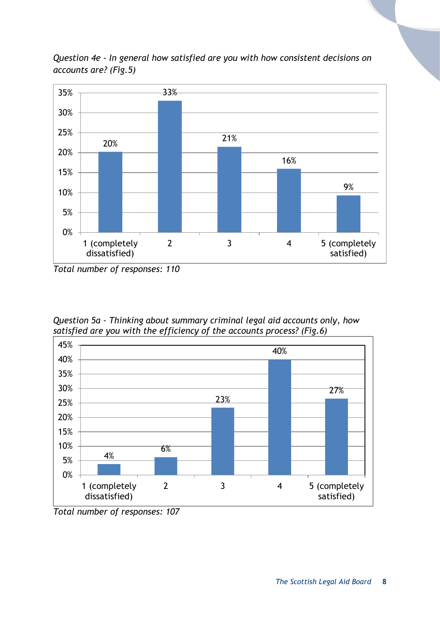

*Question 4e - In general how satisfied are you with how consistent decisions on accounts are? (Fig.5)*

*Question 5a - Thinking about summary criminal legal aid accounts only, how satisfied are you with the efficiency of the accounts process? (Fig.6)*



*Total number of responses: 107*

*Total number of responses: 110*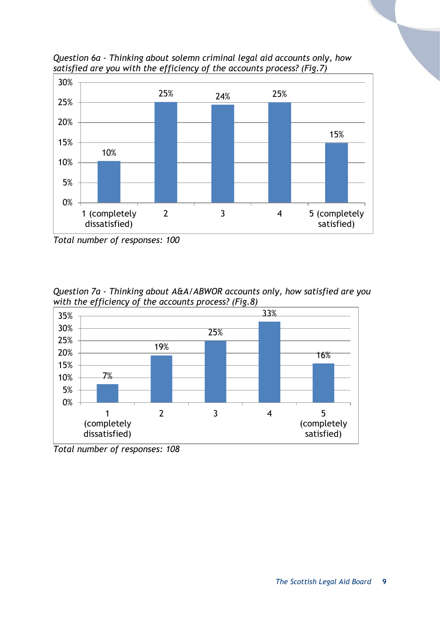

*Question 6a - Thinking about solemn criminal legal aid accounts only, how satisfied are you with the efficiency of the accounts process? (Fig.7)*

*Total number of responses: 100*

*Question 7a - Thinking about A&A/ABWOR accounts only, how satisfied are you with the efficiency of the accounts process? (Fig.8)*



*Total number of responses: 108*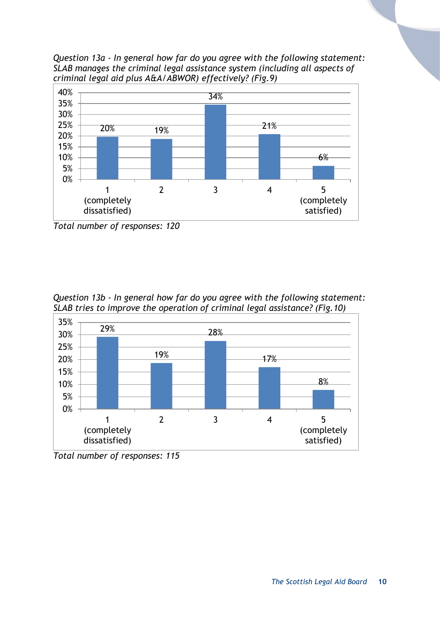*Question 13a - In general how far do you agree with the following statement: SLAB manages the criminal legal assistance system (including all aspects of criminal legal aid plus A&A/ABWOR) effectively? (Fig.9)*



*Total number of responses: 120*

*Question 13b - In general how far do you agree with the following statement: SLAB tries to improve the operation of criminal legal assistance? (Fig.10)*



*Total number of responses: 115*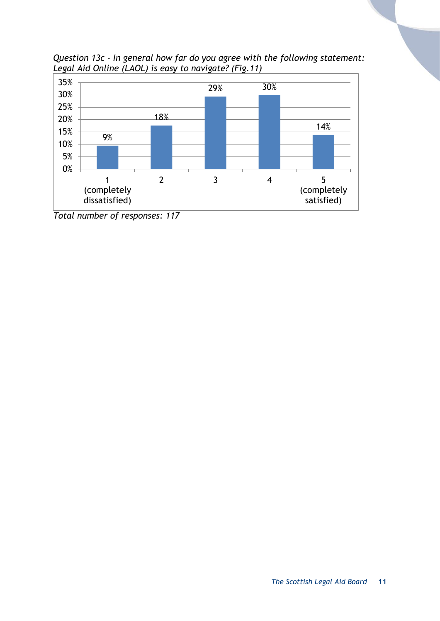

*Question 13c - In general how far do you agree with the following statement: Legal Aid Online (LAOL) is easy to navigate? (Fig.11)*

*Total number of responses: 117*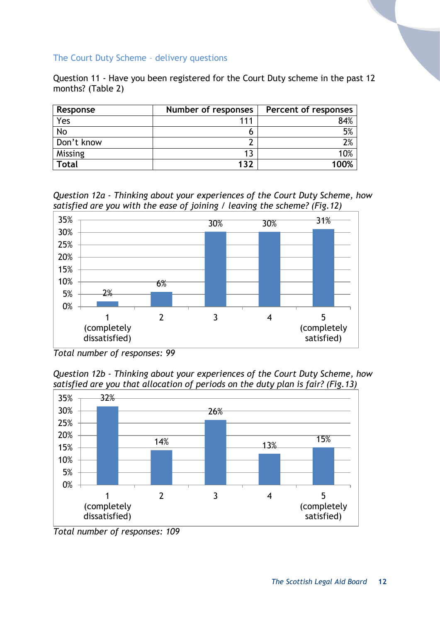#### The Court Duty Scheme – delivery questions

Question 11 - Have you been registered for the Court Duty scheme in the past 12 months? (Table 2)

| Response     | Number of responses | Percent of responses |
|--------------|---------------------|----------------------|
| Yes          | 111                 | 84%                  |
| No           |                     | 5%                   |
| Don't know   |                     | $2\%$                |
| Missing      | 13                  | 10%                  |
| <b>Total</b> | 132                 | 100%                 |

*Question 12a - Thinking about your experiences of the Court Duty Scheme, how satisfied are you with the ease of joining / leaving the scheme? (Fig.12)*



*Total number of responses: 99*

*Question 12b - Thinking about your experiences of the Court Duty Scheme, how satisfied are you that allocation of periods on the duty plan is fair? (Fig.13)*



*Total number of responses: 109*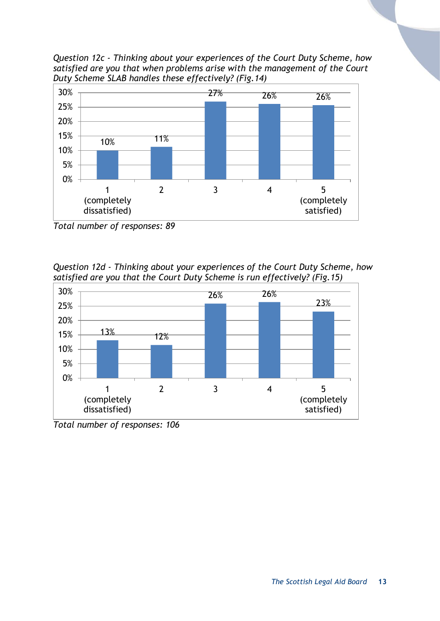*Question 12c - Thinking about your experiences of the Court Duty Scheme, how satisfied are you that when problems arise with the management of the Court Duty Scheme SLAB handles these effectively? (Fig.14)*



*Total number of responses: 89*

*Question 12d - Thinking about your experiences of the Court Duty Scheme, how satisfied are you that the Court Duty Scheme is run effectively? (Fig.15)*



*Total number of responses: 106*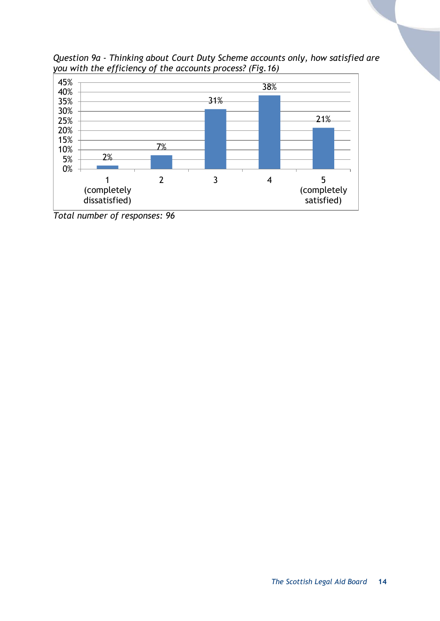*Question 9a - Thinking about Court Duty Scheme accounts only, how satisfied are you with the efficiency of the accounts process? (Fig.16)*



*Total number of responses: 96*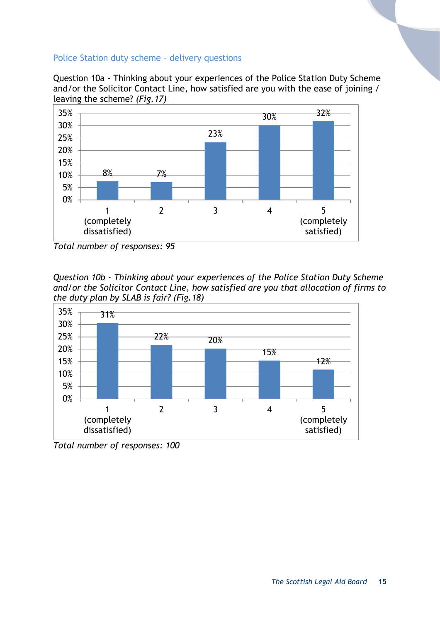#### Police Station duty scheme – delivery questions

Question 10a - Thinking about your experiences of the Police Station Duty Scheme and/or the Solicitor Contact Line, how satisfied are you with the ease of joining / leaving the scheme? *(Fig.17)*



*Total number of responses: 95*

*Question 10b - Thinking about your experiences of the Police Station Duty Scheme and/or the Solicitor Contact Line, how satisfied are you that allocation of firms to the duty plan by SLAB is fair? (Fig.18)*



*Total number of responses: 100*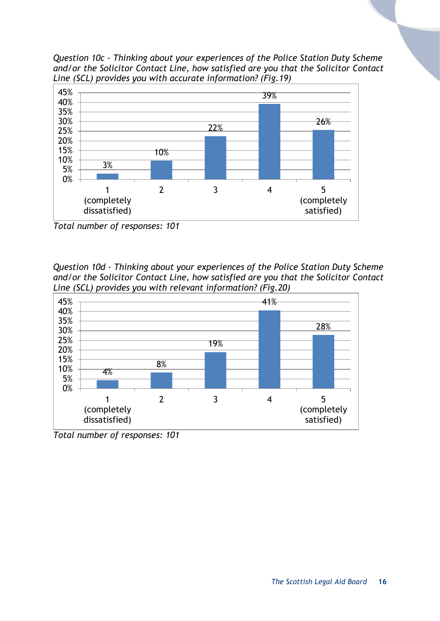*Question 10c - Thinking about your experiences of the Police Station Duty Scheme and/or the Solicitor Contact Line, how satisfied are you that the Solicitor Contact Line (SCL) provides you with accurate information? (Fig.19)*



*Total number of responses: 101*

*Question 10d - Thinking about your experiences of the Police Station Duty Scheme and/or the Solicitor Contact Line, how satisfied are you that the Solicitor Contact Line (SCL) provides you with relevant information? (Fig.20)*



*Total number of responses: 101*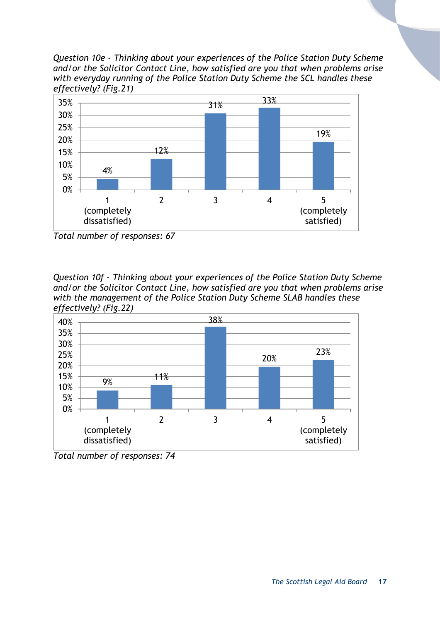*Question 10e - Thinking about your experiences of the Police Station Duty Scheme and/or the Solicitor Contact Line, how satisfied are you that when problems arise with everyday running of the Police Station Duty Scheme the SCL handles these effectively? (Fig.21)*



*Total number of responses: 67*

*Question 10f - Thinking about your experiences of the Police Station Duty Scheme and/or the Solicitor Contact Line, how satisfied are you that when problems arise with the management of the Police Station Duty Scheme SLAB handles these effectively? (Fig.22)*



*Total number of responses: 74*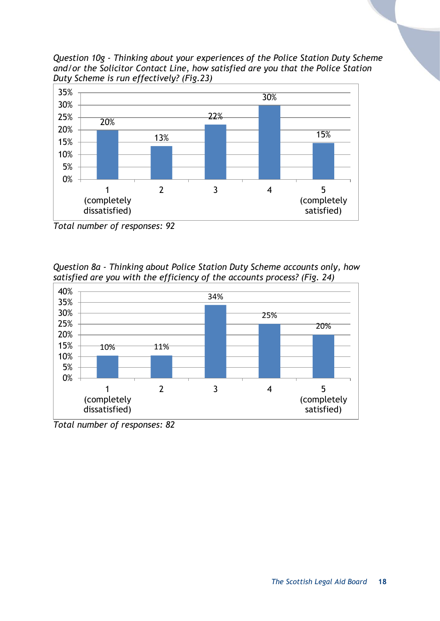*Question 10g - Thinking about your experiences of the Police Station Duty Scheme and/or the Solicitor Contact Line, how satisfied are you that the Police Station Duty Scheme is run effectively? (Fig.23)*



*Total number of responses: 92*

*Question 8a - Thinking about Police Station Duty Scheme accounts only, how satisfied are you with the efficiency of the accounts process? (Fig. 24)*



*Total number of responses: 82*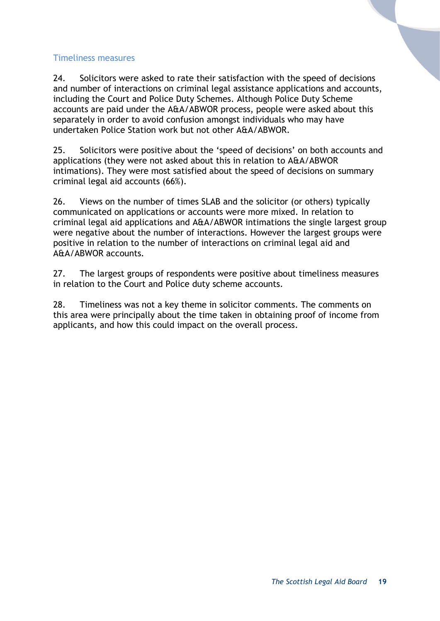#### Timeliness measures

24. Solicitors were asked to rate their satisfaction with the speed of decisions and number of interactions on criminal legal assistance applications and accounts, including the Court and Police Duty Schemes. Although Police Duty Scheme accounts are paid under the A&A/ABWOR process, people were asked about this separately in order to avoid confusion amongst individuals who may have undertaken Police Station work but not other A&A/ABWOR.

25. Solicitors were positive about the 'speed of decisions' on both accounts and applications (they were not asked about this in relation to A&A/ABWOR intimations). They were most satisfied about the speed of decisions on summary criminal legal aid accounts (66%).

26. Views on the number of times SLAB and the solicitor (or others) typically communicated on applications or accounts were more mixed. In relation to criminal legal aid applications and A&A/ABWOR intimations the single largest group were negative about the number of interactions. However the largest groups were positive in relation to the number of interactions on criminal legal aid and A&A/ABWOR accounts.

27. The largest groups of respondents were positive about timeliness measures in relation to the Court and Police duty scheme accounts.

28. Timeliness was not a key theme in solicitor comments. The comments on this area were principally about the time taken in obtaining proof of income from applicants, and how this could impact on the overall process.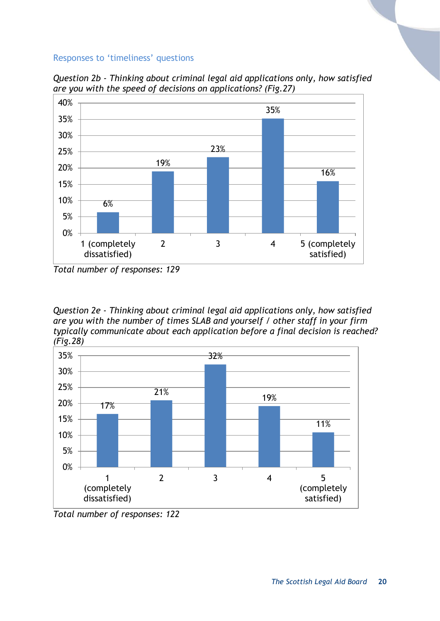#### Responses to 'timeliness' questions



*Question 2b - Thinking about criminal legal aid applications only, how satisfied are you with the speed of decisions on applications? (Fig.27)*

*Question 2e - Thinking about criminal legal aid applications only, how satisfied are you with the number of times SLAB and yourself / other staff in your firm typically communicate about each application before a final decision is reached? (Fig.28)*



*Total number of responses: 122*

*Total number of responses: 129*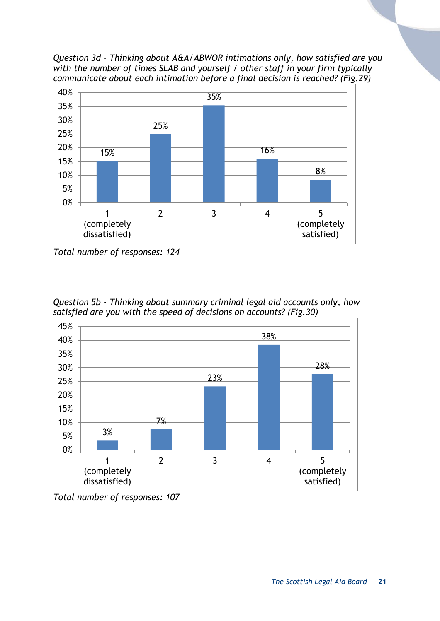*Question 3d - Thinking about A&A/ABWOR intimations only, how satisfied are you with the number of times SLAB and yourself / other staff in your firm typically communicate about each intimation before a final decision is reached? (Fig.29)*



*Total number of responses: 124*

*Question 5b - Thinking about summary criminal legal aid accounts only, how satisfied are you with the speed of decisions on accounts? (Fig.30)*



*Total number of responses: 107*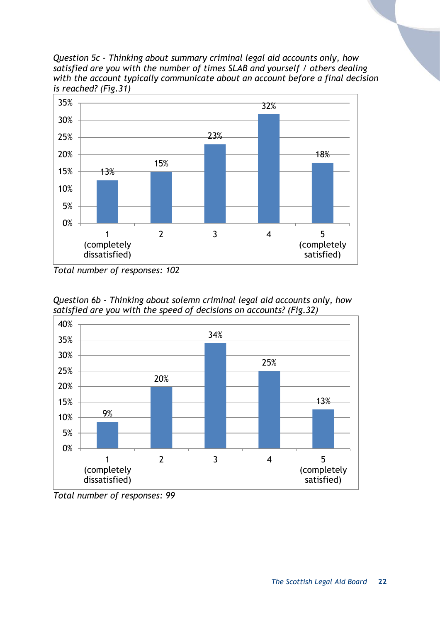*Question 5c - Thinking about summary criminal legal aid accounts only, how satisfied are you with the number of times SLAB and yourself / others dealing with the account typically communicate about an account before a final decision is reached? (Fig.31)*



*Total number of responses: 102*





*Total number of responses: 99*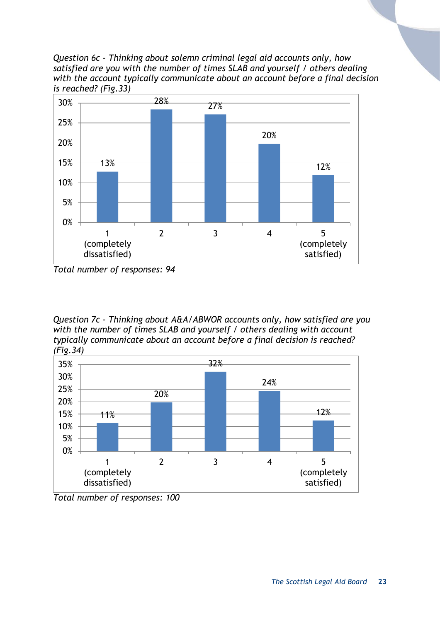*Question 6c - Thinking about solemn criminal legal aid accounts only, how satisfied are you with the number of times SLAB and yourself / others dealing with the account typically communicate about an account before a final decision is reached? (Fig.33)*



*Total number of responses: 94*

*Question 7c - Thinking about A&A/ABWOR accounts only, how satisfied are you with the number of times SLAB and yourself / others dealing with account typically communicate about an account before a final decision is reached? (Fig.34)*



*Total number of responses: 100*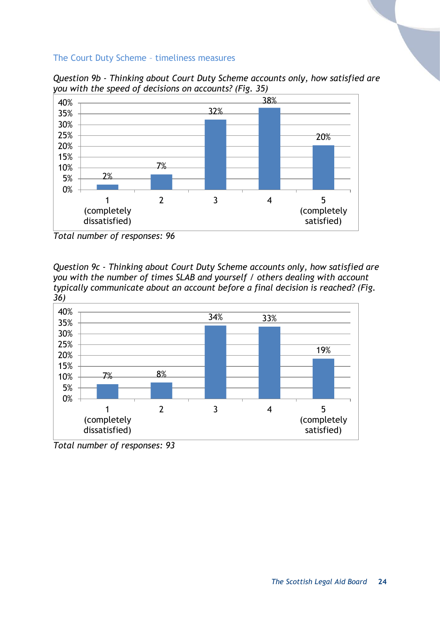#### The Court Duty Scheme – timeliness measures

2% 7% 32% 38% 20% 0% 5% 10% 15% 20% 25% 30% 35% 40% 1 (completely dissatisfied) 2 3 4 5 (completely satisfied)

*Question 9b - Thinking about Court Duty Scheme accounts only, how satisfied are you with the speed of decisions on accounts? (Fig. 35)*

*Question 9c - Thinking about Court Duty Scheme accounts only, how satisfied are you with the number of times SLAB and yourself / others dealing with account typically communicate about an account before a final decision is reached? (Fig. 36)*



*Total number of responses: 93*

*Total number of responses: 96*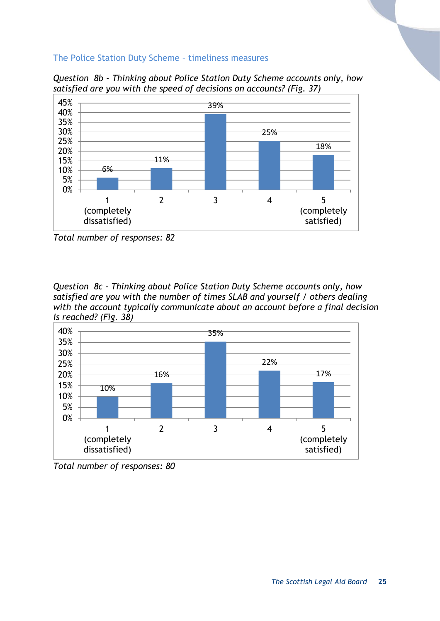#### The Police Station Duty Scheme – timeliness measures

*Question 8b - Thinking about Police Station Duty Scheme accounts only, how satisfied are you with the speed of decisions on accounts? (Fig. 37)*



*Total number of responses: 82*

*Question 8c - Thinking about Police Station Duty Scheme accounts only, how satisfied are you with the number of times SLAB and yourself / others dealing with the account typically communicate about an account before a final decision is reached? (Fig. 38)*



*Total number of responses: 80*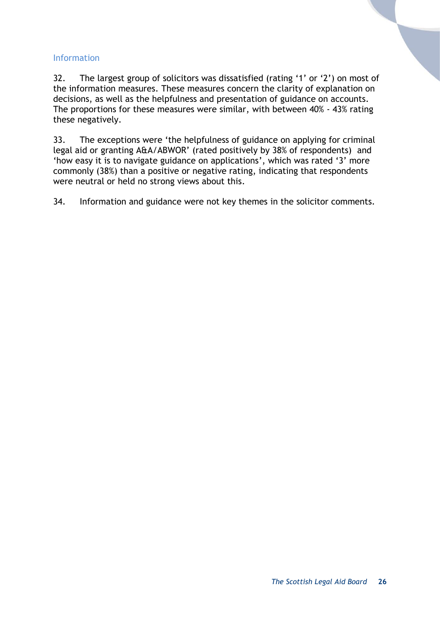#### Information

32. The largest group of solicitors was dissatisfied (rating '1' or '2') on most of the information measures. These measures concern the clarity of explanation on decisions, as well as the helpfulness and presentation of guidance on accounts. The proportions for these measures were similar, with between 40% - 43% rating these negatively.

33. The exceptions were 'the helpfulness of guidance on applying for criminal legal aid or granting A&A/ABWOR' (rated positively by 38% of respondents) and 'how easy it is to navigate guidance on applications', which was rated '3' more commonly (38%) than a positive or negative rating, indicating that respondents were neutral or held no strong views about this.

34. Information and guidance were not key themes in the solicitor comments.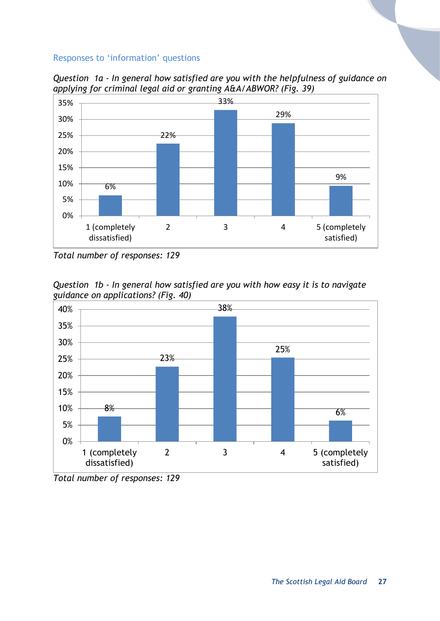#### Responses to 'information' questions



*Question 1a - In general how satisfied are you with the helpfulness of guidance on applying for criminal legal aid or granting A&A/ABWOR? (Fig. 39)*

*Question 1b - In general how satisfied are you with how easy it is to navigate guidance on applications? (Fig. 40)*



*Total number of responses: 129*

*Total number of responses: 129*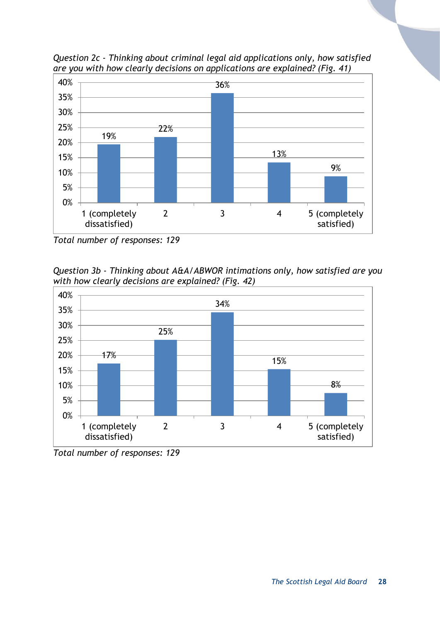

*Question 2c - Thinking about criminal legal aid applications only, how satisfied are you with how clearly decisions on applications are explained? (Fig. 41)*

*Total number of responses: 129*

*Question 3b - Thinking about A&A/ABWOR intimations only, how satisfied are you with how clearly decisions are explained? (Fig. 42)*



*Total number of responses: 129*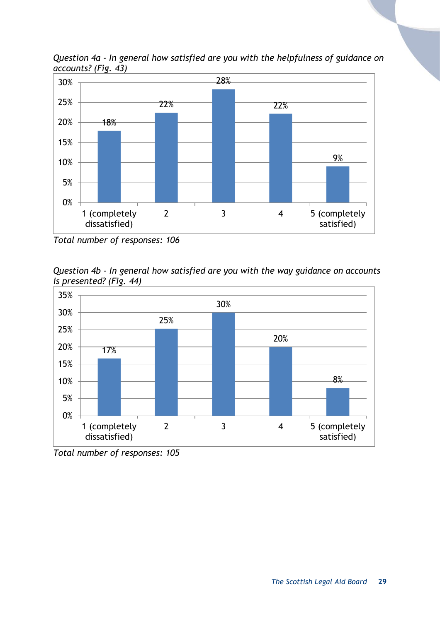

*Question 4a - In general how satisfied are you with the helpfulness of guidance on accounts? (Fig. 43)*

*Total number of responses: 106*





*Total number of responses: 105*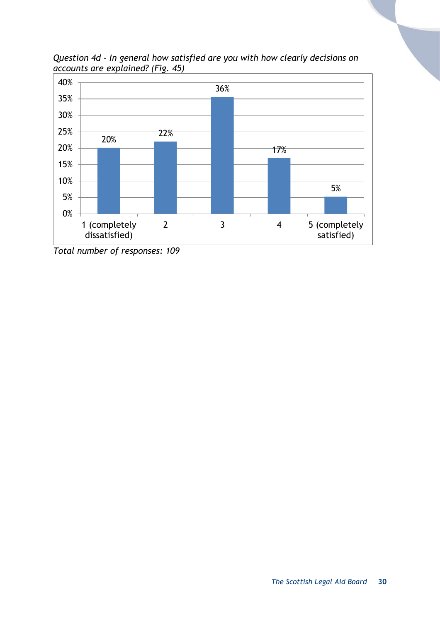

*Question 4d - In general how satisfied are you with how clearly decisions on accounts are explained? (Fig. 45)*

*Total number of responses: 109*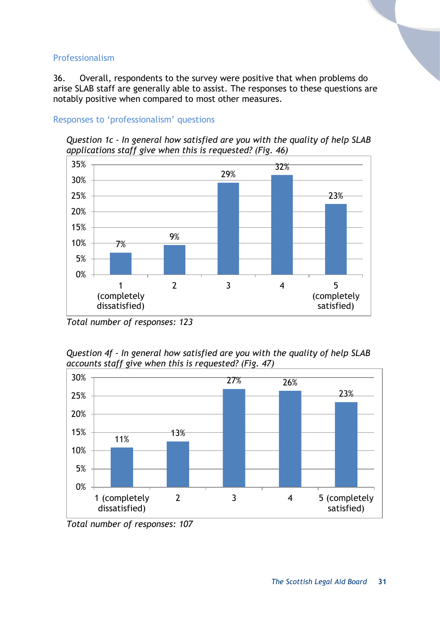#### Professionalism

36. Overall, respondents to the survey were positive that when problems do arise SLAB staff are generally able to assist. The responses to these questions are notably positive when compared to most other measures.

#### Responses to 'professionalism' questions

*Question 1c - In general how satisfied are you with the quality of help SLAB applications staff give when this is requested? (Fig. 46)*



*Total number of responses: 123*

*Question 4f - In general how satisfied are you with the quality of help SLAB accounts staff give when this is requested? (Fig. 47)*



*Total number of responses: 107*